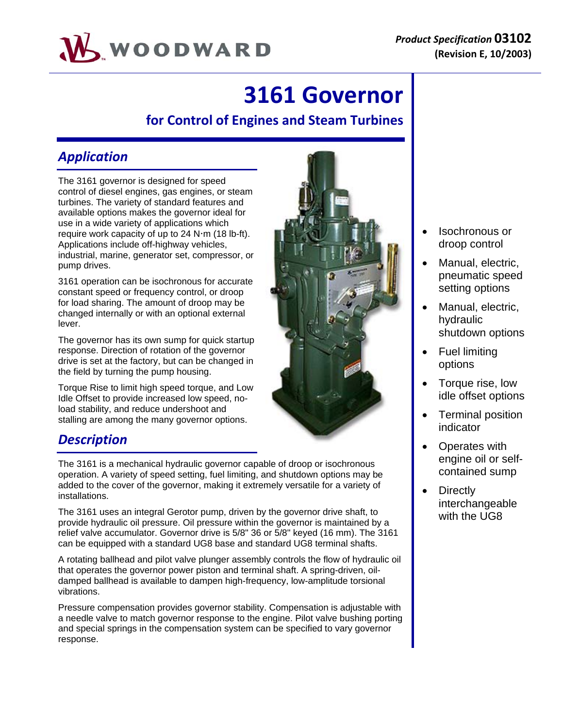

# **3161 Governor**

# **for Control of Engines and Steam Turbines**

# *Application*

The 3161 governor is designed for speed control of diesel engines, gas engines, or steam turbines. The variety of standard features and available options makes the governor ideal for use in a wide variety of applications which require work capacity of up to  $24$  N $\cdot$ m (18 lb-ft). Applications include off-highway vehicles, industrial, marine, generator set, compressor, or pump drives.

3161 operation can be isochronous for accurate constant speed or frequency control, or droop for load sharing. The amount of droop may be changed internally or with an optional external lever.

The governor has its own sump for quick startup response. Direction of rotation of the governor drive is set at the factory, but can be changed in the field by turning the pump housing.

Torque Rise to limit high speed torque, and Low Idle Offset to provide increased low speed, noload stability, and reduce undershoot and stalling are among the many governor options.

## *Description*

The 3161 is a mechanical hydraulic governor capable of droop or isochronous operation. A variety of speed setting, fuel limiting, and shutdown options may be added to the cover of the governor, making it extremely versatile for a variety of installations.

The 3161 uses an integral Gerotor pump, driven by the governor drive shaft, to provide hydraulic oil pressure. Oil pressure within the governor is maintained by a relief valve accumulator. Governor drive is 5/8" 36 or 5/8" keyed (16 mm). The 3161 can be equipped with a standard UG8 base and standard UG8 terminal shafts.

A rotating ballhead and pilot valve plunger assembly controls the flow of hydraulic oil that operates the governor power piston and terminal shaft. A spring-driven, oildamped ballhead is available to dampen high-frequency, low-amplitude torsional vibrations.

Pressure compensation provides governor stability. Compensation is adjustable with a needle valve to match governor response to the engine. Pilot valve bushing porting and special springs in the compensation system can be specified to vary governor response.



- Isochronous or droop control
- Manual, electric, pneumatic speed setting options
- Manual, electric, hydraulic shutdown options
- Fuel limiting options
- Torque rise, low idle offset options
- Terminal position indicator
- Operates with engine oil or selfcontained sump
- **Directly** interchangeable with the UG8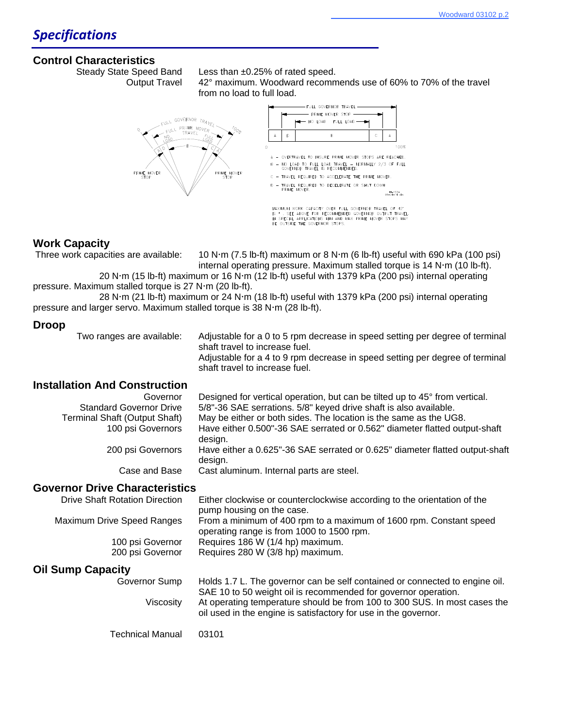#### **Control Characteristics**

Steady State Speed Band Less than ±0.25% of rated speed.

 Output Travel 42° maximum. Woodward recommends use of 60% to 70% of the travel from no load to full load.



#### **Work Capacity**

Three work capacities are available:  $10 N \cdot m$  (7.5 lb-ft) maximum or 8 N $\cdot m$  (6 lb-ft) useful with 690 kPa (100 psi) internal operating pressure. Maximum stalled torque is  $14$  N·m (10 lb-ft).

20 N·m (15 lb-ft) maximum or 16 N·m (12 lb-ft) useful with 1379 kPa (200 psi) internal operating pressure. Maximum stalled torque is 27 N·m (20 lb-ft).

28 N·m (21 lb-ft) maximum or 24 N·m (18 lb-ft) useful with 1379 kPa (200 psi) internal operating pressure and larger servo. Maximum stalled torque is 38 N·m (28 lb-ft).

#### **Droop**

 Two ranges are available: Adjustable for a 0 to 5 rpm decrease in speed setting per degree of terminal shaft travel to increase fuel.

> Adjustable for a 4 to 9 rpm decrease in speed setting per degree of terminal shaft travel to increase fuel.

### **Installation And Construction**

| Governor                              | Designed for vertical operation, but can be tilted up to 45° from vertical.             |
|---------------------------------------|-----------------------------------------------------------------------------------------|
| <b>Standard Governor Drive</b>        | 5/8"-36 SAE serrations. 5/8" keyed drive shaft is also available.                       |
| <b>Terminal Shaft (Output Shaft)</b>  | May be either or both sides. The location is the same as the UG8.                       |
| 100 psi Governors                     | Have either 0.500"-36 SAE serrated or 0.562" diameter flatted output-shaft<br>design.   |
| 200 psi Governors                     | Have either a 0.625"-36 SAE serrated or 0.625" diameter flatted output-shaft<br>design. |
| Case and Base                         | Cast aluminum. Internal parts are steel.                                                |
| <b>Governor Drive Characteristics</b> |                                                                                         |

| <b>Drive Shaft Rotation Direction</b> | Either clockwise or counterclockwise according to the orientation of the<br>pump housing on the case.                                         |
|---------------------------------------|-----------------------------------------------------------------------------------------------------------------------------------------------|
| Maximum Drive Speed Ranges            | From a minimum of 400 rpm to a maximum of 1600 rpm. Constant speed<br>operating range is from 1000 to 1500 rpm.                               |
| 100 psi Governor                      | Requires 186 W (1/4 hp) maximum.                                                                                                              |
| 200 psi Governor                      | Requires 280 W (3/8 hp) maximum.                                                                                                              |
| <b>Oil Sump Capacity</b>              |                                                                                                                                               |
| Governor Sump                         | Holds 1.7 L. The governor can be self contained or connected to engine oil.<br>SAE 10 to 50 weight oil is recommended for governor operation. |

 Viscosity At operating temperature should be from 100 to 300 SUS. In most cases the oil used in the engine is satisfactory for use in the governor.

Technical Manual 03101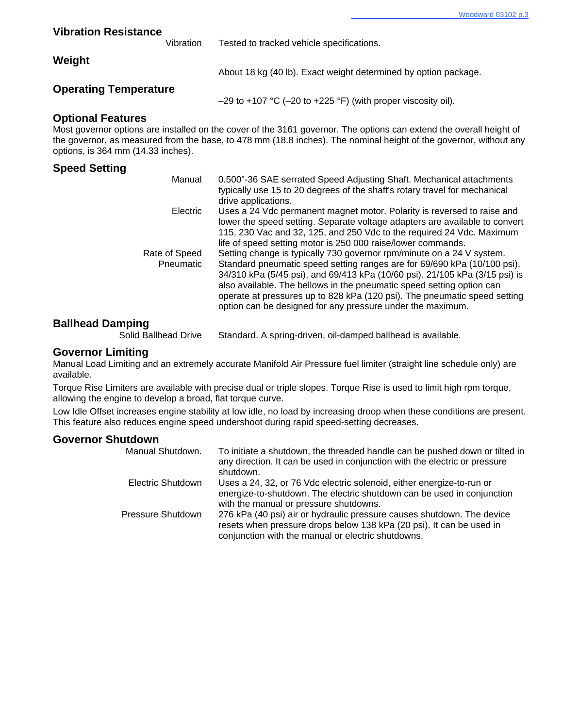| <b>Vibration Resistance</b>                                    |           |                                                                                                                                                                                                                                                                                                                                                                                                                                                      |
|----------------------------------------------------------------|-----------|------------------------------------------------------------------------------------------------------------------------------------------------------------------------------------------------------------------------------------------------------------------------------------------------------------------------------------------------------------------------------------------------------------------------------------------------------|
|                                                                | Vibration | Tested to tracked vehicle specifications.                                                                                                                                                                                                                                                                                                                                                                                                            |
| Weight                                                         |           | About 18 kg (40 lb). Exact weight determined by option package.                                                                                                                                                                                                                                                                                                                                                                                      |
| <b>Operating Temperature</b>                                   |           | $-29$ to +107 °C (-20 to +225 °F) (with proper viscosity oil).                                                                                                                                                                                                                                                                                                                                                                                       |
| <b>Optional Features</b><br>options, is 364 mm (14.33 inches). |           | Most governor options are installed on the cover of the 3161 governor. The options can extend the overall height of<br>the governor, as measured from the base, to 478 mm (18.8 inches). The nominal height of the governor, without any                                                                                                                                                                                                             |
| <b>Speed Setting</b>                                           |           |                                                                                                                                                                                                                                                                                                                                                                                                                                                      |
|                                                                | Manual    | 0.500"-36 SAE serrated Speed Adjusting Shaft. Mechanical attachments<br>typically use 15 to 20 degrees of the shaft's rotary travel for mechanical<br>drive applications.                                                                                                                                                                                                                                                                            |
|                                                                | Electric  | Uses a 24 Vdc permanent magnet motor. Polarity is reversed to raise and<br>lower the speed setting. Separate voltage adapters are available to convert<br>115, 230 Vac and 32, 125, and 250 Vdc to the required 24 Vdc. Maximum<br>life of speed setting motor is 250 000 raise/lower commands.                                                                                                                                                      |
| Rate of Speed                                                  | Pneumatic | Setting change is typically 730 governor rpm/minute on a 24 V system.<br>Standard pneumatic speed setting ranges are for 69/690 kPa (10/100 psi),<br>34/310 kPa (5/45 psi), and 69/413 kPa (10/60 psi). 21/105 kPa (3/15 psi) is<br>also available. The bellows in the pneumatic speed setting option can<br>operate at pressures up to 828 kPa (120 psi). The pneumatic speed setting<br>option can be designed for any pressure under the maximum. |

# **Ballhead Damping**

Standard. A spring-driven, oil-damped ballhead is available.

#### **Governor Limiting**

Manual Load Limiting and an extremely accurate Manifold Air Pressure fuel limiter (straight line schedule only) are available.

Torque Rise Limiters are available with precise dual or triple slopes. Torque Rise is used to limit high rpm torque, allowing the engine to develop a broad, flat torque curve.

Low Idle Offset increases engine stability at low idle, no load by increasing droop when these conditions are present. This feature also reduces engine speed undershoot during rapid speed-setting decreases.

#### **Governor Shutdown**

| Manual Shutdown.  | To initiate a shutdown, the threaded handle can be pushed down or tilted in<br>any direction. It can be used in conjunction with the electric or pressure<br>shutdown.                               |
|-------------------|------------------------------------------------------------------------------------------------------------------------------------------------------------------------------------------------------|
| Electric Shutdown | Uses a 24, 32, or 76 Vdc electric solenoid, either energize-to-run or<br>energize-to-shutdown. The electric shutdown can be used in conjunction<br>with the manual or pressure shutdowns.            |
| Pressure Shutdown | 276 kPa (40 psi) air or hydraulic pressure causes shutdown. The device<br>resets when pressure drops below 138 kPa (20 psi). It can be used in<br>conjunction with the manual or electric shutdowns. |